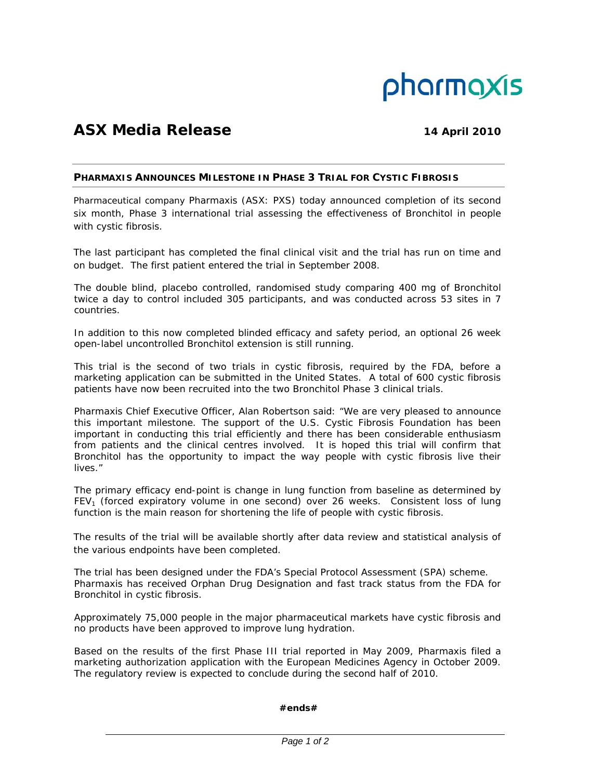

# **ASX Media Release 14 April 2010**

# **PHARMAXIS ANNOUNCES MILESTONE IN PHASE 3 TRIAL FOR CYSTIC FIBROSIS**

Pharmaceutical company Pharmaxis (ASX: PXS) today announced completion of its second six month, Phase 3 international trial assessing the effectiveness of Bronchitol in people with cystic fibrosis.

The last participant has completed the final clinical visit and the trial has run on time and on budget. The first patient entered the trial in September 2008.

The double blind, placebo controlled, randomised study comparing 400 mg of Bronchitol twice a day to control included 305 participants, and was conducted across 53 sites in 7 countries.

In addition to this now completed blinded efficacy and safety period, an optional 26 week open-label uncontrolled Bronchitol extension is still running.

This trial is the second of two trials in cystic fibrosis, required by the FDA, before a marketing application can be submitted in the United States. A total of 600 cystic fibrosis patients have now been recruited into the two Bronchitol Phase 3 clinical trials.

Pharmaxis Chief Executive Officer, Alan Robertson said: "We are very pleased to announce this important milestone. The support of the U.S. Cystic Fibrosis Foundation has been important in conducting this trial efficiently and there has been considerable enthusiasm from patients and the clinical centres involved. It is hoped this trial will confirm that Bronchitol has the opportunity to impact the way people with cystic fibrosis live their lives."

The primary efficacy end-point is change in lung function from baseline as determined by FEV<sub>1</sub> (forced expiratory volume in one second) over 26 weeks. Consistent loss of lung function is the main reason for shortening the life of people with cystic fibrosis.

The results of the trial will be available shortly after data review and statistical analysis of the various endpoints have been completed.

The trial has been designed under the FDA's Special Protocol Assessment (SPA) scheme. Pharmaxis has received Orphan Drug Designation and fast track status from the FDA for Bronchitol in cystic fibrosis.

Approximately 75,000 people in the major pharmaceutical markets have cystic fibrosis and no products have been approved to improve lung hydration.

Based on the results of the first Phase III trial reported in May 2009, Pharmaxis filed a marketing authorization application with the European Medicines Agency in October 2009. The regulatory review is expected to conclude during the second half of 2010.

# **#ends#**